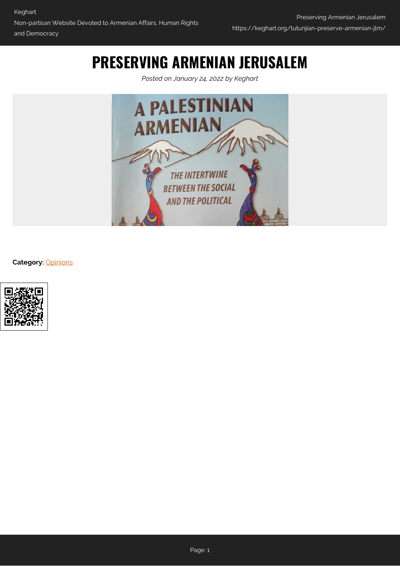## **PRESERVING ARMENIAN JERUSALEM**

*Posted on January 24, 2022 by Keghart*



**Category:** [Opinions](https://keghart.org/category/opinions/)

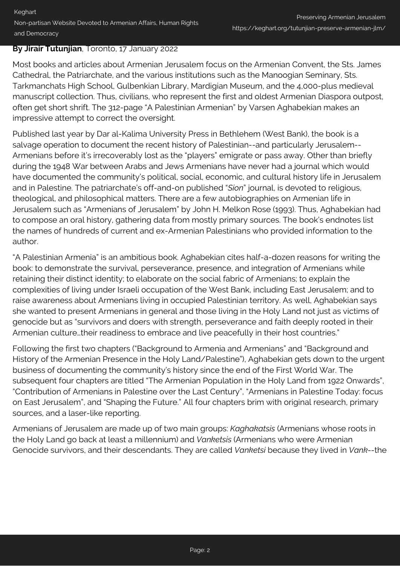#### **By Jirair Tutunjian**, Toronto, 17 January 2022

Most books and articles about Armenian Jerusalem focus on the Armenian Convent, the Sts. James Cathedral, the Patriarchate, and the various institutions such as the Manoogian Seminary, Sts. Tarkmanchats High School, Gulbenkian Library, Mardigian Museum, and the 4,000-plus medieval manuscript collection. Thus, civilians, who represent the first and oldest Armenian Diaspora outpost, often get short shrift. The 312-page "A Palestinian Armenian" by Varsen Aghabekian makes an impressive attempt to correct the oversight.

Published last year by Dar al-Kalima University Press in Bethlehem (West Bank), the book is a salvage operation to document the recent history of Palestinian--and particularly Jerusalem-- Armenians before it's irrecoverably lost as the "players" emigrate or pass away. Other than briefly during the 1948 War between Arabs and Jews Armenians have never had a journal which would have documented the community's political, social, economic, and cultural history life in Jerusalem and in Palestine. The patriarchate's off-and-on published "*Sion*" journal, is devoted to religious, theological, and philosophical matters. There are a few autobiographies on Armenian life in Jerusalem such as "Armenians of Jerusalem" by John H. Melkon Rose (1993). Thus, Aghabekian had to compose an oral history, gathering data from mostly primary sources. The book's endnotes list the names of hundreds of current and ex-Armenian Palestinians who provided information to the author.

"A Palestinian Armenia" is an ambitious book. Aghabekian cites half-a-dozen reasons for writing the book: to demonstrate the survival, perseverance, presence, and integration of Armenians while retaining their distinct identity; to elaborate on the social fabric of Armenians; to explain the complexities of living under Israeli occupation of the West Bank, including East Jerusalem; and to raise awareness about Armenians living in occupied Palestinian territory. As well, Aghabekian says she wanted to present Armenians in general and those living in the Holy Land not just as victims of genocide but as "survivors and doers with strength, perseverance and faith deeply rooted in their Armenian culture…their readiness to embrace and live peacefully in their host countries."

Following the first two chapters ("Background to Armenia and Armenians" and "Background and History of the Armenian Presence in the Holy Land/Palestine"), Aghabekian gets down to the urgent business of documenting the community's history since the end of the First World War. The subsequent four chapters are titled "The Armenian Population in the Holy Land from 1922 Onwards", "Contribution of Armenians in Palestine over the Last Century", "Armenians in Palestine Today: focus on East Jerusalem", and "Shaping the Future." All four chapters brim with original research, primary sources, and a laser-like reporting.

Armenians of Jerusalem are made up of two main groups: *Kaghakatsis* (Armenians whose roots in the Holy Land go back at least a millennium) and *Vanketsis* (Armenians who were Armenian Genocide survivors, and their descendants. They are called *Vanketsi* because they lived in *Vank*--the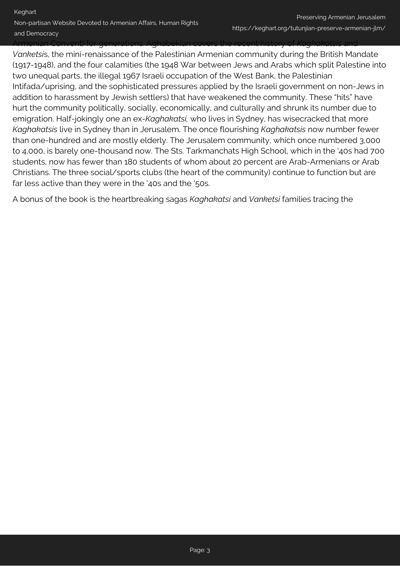Armenian Convent) for generations. Aghabekian covers the recent history of *Kaghakatsis* and

*Vanketsi*s, the mini-renaissance of the Palestinian Armenian community during the British Mandate (1917-1948), and the four calamities (the 1948 War between Jews and Arabs which split Palestine into two unequal parts, the illegal 1967 Israeli occupation of the West Bank, the Palestinian Intifada/uprising, and the sophisticated pressures applied by the Israeli government on non-Jews in addition to harassment by Jewish settlers) that have weakened the community. These "hits" have hurt the community politically, socially, economically, and culturally and shrunk its number due to emigration. Half-jokingly one an ex-*Kaghakatsi,* who lives in Sydney, has wisecracked that more *Kaghakatsis* live in Sydney than in Jerusalem. The once flourishing *Kaghakatsis* now number fewer than one-hundred and are mostly elderly. The Jerusalem community, which once numbered 3,000 to 4,000, is barely one-thousand now. The Sts. Tarkmanchats High School, which in the '40s had 700 students, now has fewer than 180 students of whom about 20 percent are Arab-Armenians or Arab Christians. The three social/sports clubs (the heart of the community) continue to function but are far less active than they were in the '40s and the '50s.

A bonus of the book is the heartbreaking sagas *Kaghakatsi* and *Vanketsi* families tracing the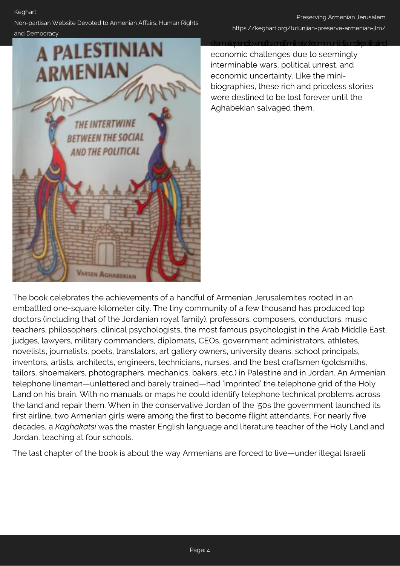### Non-partisan Website Devoted to Armenian Affairs, Human Rights

**THE INTERTWINE** 

**BETWEEN THE SOCIAL** 

AND THE POLITICAL

**VARSEN AGHABEKIAN** 

#### Preserving Armenian Jerusalem https://keghart.org/tutunjian-preserve-armenian-jlm/

# and Democracy **A PALESTINIAN ARMENIAN**

dramatic pand downs those national doctor and interface direction and economic challenges due to seemingly interminable wars, political unrest, and economic uncertainty. Like the minibiographies, these rich and priceless stories were destined to be lost forever until the Aghabekian salvaged them.

The book celebrates the achievements of a handful of Armenian Jerusalemites rooted in an embattled one-square kilometer city. The tiny community of a few thousand has produced top doctors (including that of the Jordanian royal family), professors, composers, conductors, music teachers, philosophers, clinical psychologists, the most famous psychologist in the Arab Middle East, judges, lawyers, military commanders, diplomats, CEOs, government administrators, athletes, novelists, journalists, poets, translators, art gallery owners, university deans, school principals, inventors, artists, architects, engineers, technicians, nurses, and the best craftsmen (goldsmiths, tailors, shoemakers, photographers, mechanics, bakers, etc.) in Palestine and in Jordan. An Armenian telephone lineman—unlettered and barely trained—had 'imprinted' the telephone grid of the Holy Land on his brain. With no manuals or maps he could identify telephone technical problems across the land and repair them. When in the conservative Jordan of the '50s the government launched its first airline, two Armenian girls were among the first to become flight attendants. For nearly five decades, a *Kaghakatsi* was the master English language and literature teacher of the Holy Land and Jordan, teaching at four schools.

The last chapter of the book is about the way Armenians are forced to live—under illegal Israeli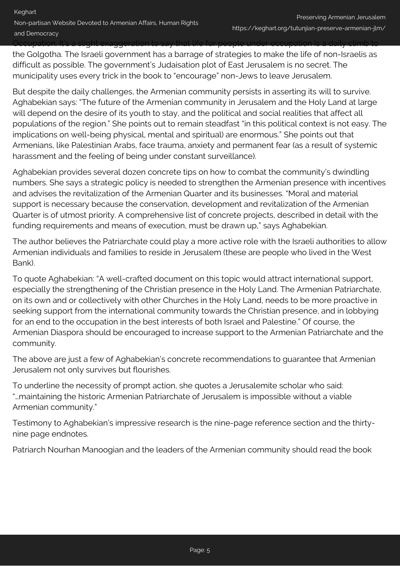Occupation. It's a slight exaggeration to say that life for people under occupation is a daily climb to

the Golgotha. The Israeli government has a barrage of strategies to make the life of non-Israelis as difficult as possible. The government's Judaisation plot of East Jerusalem is no secret. The municipality uses every trick in the book to "encourage" non-Jews to leave Jerusalem.

But despite the daily challenges, the Armenian community persists in asserting its will to survive. Aghabekian says: "The future of the Armenian community in Jerusalem and the Holy Land at large will depend on the desire of its youth to stay, and the political and social realities that affect all populations of the region." She points out to remain steadfast "in this political context is not easy. The implications on well-being physical, mental and spiritual) are enormous." She points out that Armenians, like Palestinian Arabs, face trauma, anxiety and permanent fear (as a result of systemic harassment and the feeling of being under constant surveillance).

Aghabekian provides several dozen concrete tips on how to combat the community's dwindling numbers. She says a strategic policy is needed to strengthen the Armenian presence with incentives and advises the revitalization of the Armenian Quarter and its businesses. "Moral and material support is necessary because the conservation, development and revitalization of the Armenian Quarter is of utmost priority. A comprehensive list of concrete projects, described in detail with the funding requirements and means of execution, must be drawn up," says Aghabekian.

The author believes the Patriarchate could play a more active role with the Israeli authorities to allow Armenian individuals and families to reside in Jerusalem (these are people who lived in the West Bank).

To quote Aghabekian: "A well-crafted document on this topic would attract international support, especially the strengthening of the Christian presence in the Holy Land. The Armenian Patriarchate, on its own and or collectively with other Churches in the Holy Land, needs to be more proactive in seeking support from the international community towards the Christian presence, and in lobbying for an end to the occupation in the best interests of both Israel and Palestine." Of course, the Armenian Diaspora should be encouraged to increase support to the Armenian Patriarchate and the community.

The above are just a few of Aghabekian's concrete recommendations to guarantee that Armenian Jerusalem not only survives but flourishes.

To underline the necessity of prompt action, she quotes a Jerusalemite scholar who said: "…maintaining the historic Armenian Patriarchate of Jerusalem is impossible without a viable Armenian community."

Testimony to Aghabekian's impressive research is the nine-page reference section and the thirtynine page endnotes.

Patriarch Nourhan Manoogian and the leaders of the Armenian community should read the book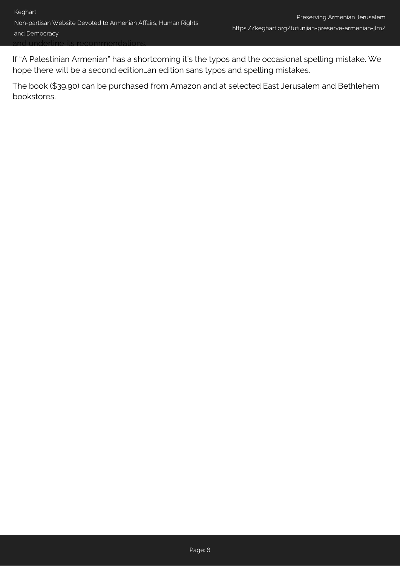If "A Palestinian Armenian" has a shortcoming it's the typos and the occasional spelling mistake. We hope there will be a second edition…an edition sans typos and spelling mistakes.

The book (\$39.90) can be purchased from Amazon and at selected East Jerusalem and Bethlehem bookstores.